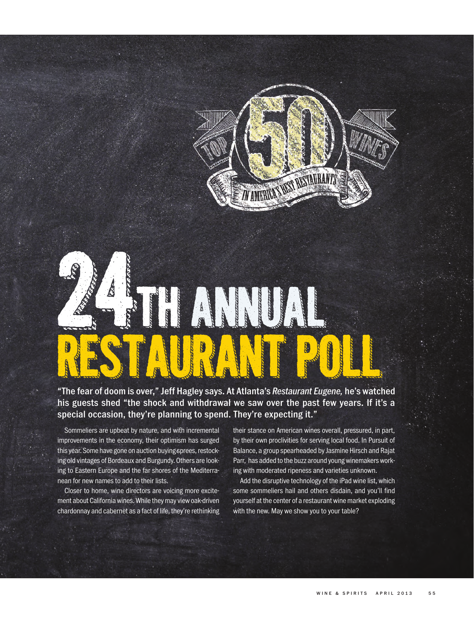

## "The fear of doom is over," Jeff Hagley says. At Atlanta's *Restaurant Eugene,* he's watched his guests shed "the shock and withdrawal we saw over the past few years. If it's a special occasion, they're planning to spend. They're expecting it."

Sommeliers are upbeat by nature, and with incremental improvements in the economy, their optimism has surged this year. Some have gone on auction buying sprees, restocking old vintages of Bordeaux and Burgundy. Others are looking to Eastern Europe and the far shores of the Mediterranean for new names to add to their lists.

Closer to home, wine directors are voicing more excitement about California wines. While they may view oak-driven chardonnay and cabernet as a fact of life, they're rethinking their stance on American wines overall, pressured, in part, by their own proclivities for serving local food. In Pursuit of Balance, a group spearheaded by Jasmine Hirsch and Rajat Parr, has added to the buzz around young winemakers working with moderated ripeness and varieties unknown.

Add the disruptive technology of the iPad wine list, which some sommeliers hail and others disdain, and you'll find yourself at the center of a restaurant wine market exploding with the new. May we show you to your table?